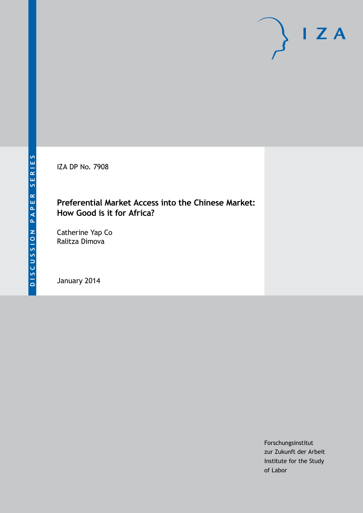IZA DP No. 7908

# **Preferential Market Access into the Chinese Market: How Good is it for Africa?**

Catherine Yap Co Ralitza Dimova

January 2014

Forschungsinstitut zur Zukunft der Arbeit Institute for the Study of Labor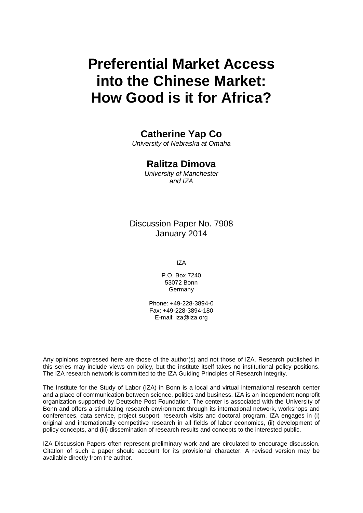# **Preferential Market Access into the Chinese Market: How Good is it for Africa?**

# **Catherine Yap Co**

*University of Nebraska at Omaha*

### **Ralitza Dimova**

*University of Manchester and IZA*

## Discussion Paper No. 7908 January 2014

IZA

P.O. Box 7240 53072 Bonn **Germany** 

Phone: +49-228-3894-0 Fax: +49-228-3894-180 E-mail: [iza@iza.org](mailto:iza@iza.org)

Any opinions expressed here are those of the author(s) and not those of IZA. Research published in this series may include views on policy, but the institute itself takes no institutional policy positions. The IZA research network is committed to the IZA Guiding Principles of Research Integrity.

The Institute for the Study of Labor (IZA) in Bonn is a local and virtual international research center and a place of communication between science, politics and business. IZA is an independent nonprofit organization supported by Deutsche Post Foundation. The center is associated with the University of Bonn and offers a stimulating research environment through its international network, workshops and conferences, data service, project support, research visits and doctoral program. IZA engages in (i) original and internationally competitive research in all fields of labor economics, (ii) development of policy concepts, and (iii) dissemination of research results and concepts to the interested public.

IZA Discussion Papers often represent preliminary work and are circulated to encourage discussion. Citation of such a paper should account for its provisional character. A revised version may be available directly from the author.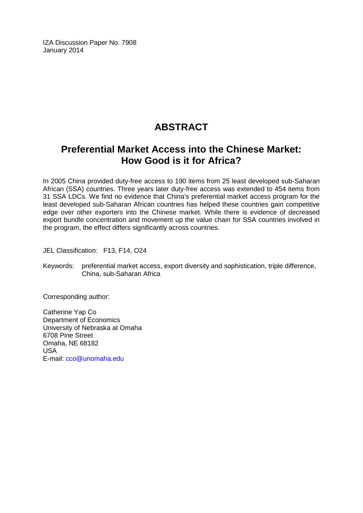IZA Discussion Paper No. 7908 January 2014

# **ABSTRACT**

# **Preferential Market Access into the Chinese Market: How Good is it for Africa?**

In 2005 China provided duty-free access to 190 items from 25 least developed sub-Saharan African (SSA) countries. Three years later duty-free access was extended to 454 items from 31 SSA LDCs. We find no evidence that China's preferential market access program for the least developed sub-Saharan African countries has helped these countries gain competitive edge over other exporters into the Chinese market. While there is evidence of decreased export bundle concentration and movement up the value chain for SSA countries involved in the program, the effect differs significantly across countries.

JEL Classification: F13, F14, O24

Keywords: preferential market access, export diversity and sophistication, triple difference, China, sub-Saharan Africa

Corresponding author:

Catherine Yap Co Department of Economics University of Nebraska at Omaha 6708 Pine Street Omaha, NE 68182 USA E-mail: [cco@unomaha.edu](mailto:cco@unomaha.edu)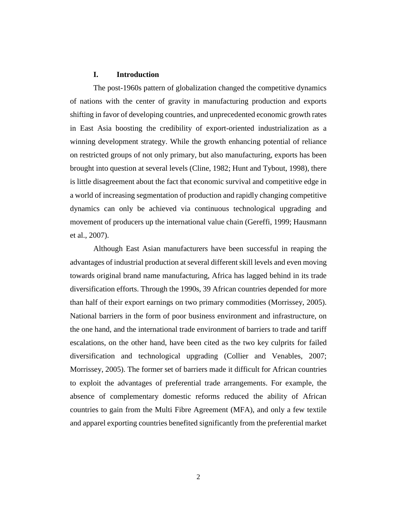#### **I. Introduction**

The post-1960s pattern of globalization changed the competitive dynamics of nations with the center of gravity in manufacturing production and exports shifting in favor of developing countries, and unprecedented economic growth rates in East Asia boosting the credibility of export-oriented industrialization as a winning development strategy. While the growth enhancing potential of reliance on restricted groups of not only primary, but also manufacturing, exports has been brought into question at several levels (Cline, 1982; Hunt and Tybout, 1998), there is little disagreement about the fact that economic survival and competitive edge in a world of increasing segmentation of production and rapidly changing competitive dynamics can only be achieved via continuous technological upgrading and movement of producers up the international value chain (Gereffi, 1999; Hausmann et al., 2007).

Although East Asian manufacturers have been successful in reaping the advantages of industrial production at several different skill levels and even moving towards original brand name manufacturing, Africa has lagged behind in its trade diversification efforts. Through the 1990s, 39 African countries depended for more than half of their export earnings on two primary commodities (Morrissey, 2005). National barriers in the form of poor business environment and infrastructure, on the one hand, and the international trade environment of barriers to trade and tariff escalations, on the other hand, have been cited as the two key culprits for failed diversification and technological upgrading (Collier and Venables, 2007; Morrissey, 2005). The former set of barriers made it difficult for African countries to exploit the advantages of preferential trade arrangements. For example, the absence of complementary domestic reforms reduced the ability of African countries to gain from the Multi Fibre Agreement (MFA), and only a few textile and apparel exporting countries benefited significantly from the preferential market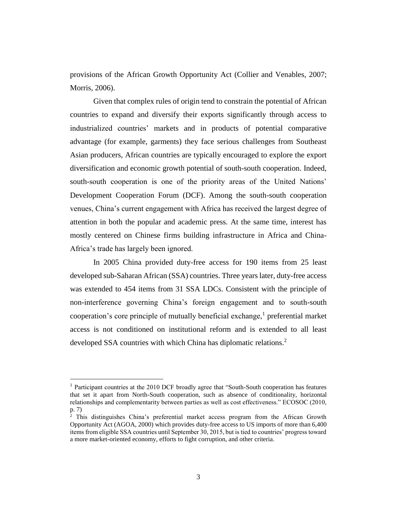provisions of the African Growth Opportunity Act (Collier and Venables, 2007; Morris, 2006).

Given that complex rules of origin tend to constrain the potential of African countries to expand and diversify their exports significantly through access to industrialized countries' markets and in products of potential comparative advantage (for example, garments) they face serious challenges from Southeast Asian producers, African countries are typically encouraged to explore the export diversification and economic growth potential of south-south cooperation. Indeed, south-south cooperation is one of the priority areas of the United Nations' Development Cooperation Forum (DCF). Among the south-south cooperation venues, China's current engagement with Africa has received the largest degree of attention in both the popular and academic press. At the same time, interest has mostly centered on Chinese firms building infrastructure in Africa and China-Africa's trade has largely been ignored.

In 2005 China provided duty-free access for 190 items from 25 least developed sub-Saharan African (SSA) countries. Three years later, duty-free access was extended to 454 items from 31 SSA LDCs. Consistent with the principle of non-interference governing China's foreign engagement and to south-south cooperation's core principle of mutually beneficial exchange, $<sup>1</sup>$  preferential market</sup> access is not conditioned on institutional reform and is extended to all least developed SSA countries with which China has diplomatic relations.<sup>2</sup>

<sup>&</sup>lt;sup>1</sup> Participant countries at the 2010 DCF broadly agree that "South-South cooperation has features that set it apart from North-South cooperation, such as absence of conditionality, horizontal relationships and complementarity between parties as well as cost effectiveness." ECOSOC (2010, p. 7)

 $2$  This distinguishes China's preferential market access program from the African Growth Opportunity Act (AGOA, 2000) which provides duty-free access to US imports of more than 6,400 items from eligible SSA countries until September 30, 2015, but is tied to countries' progress toward a more market-oriented economy, efforts to fight corruption, and other criteria.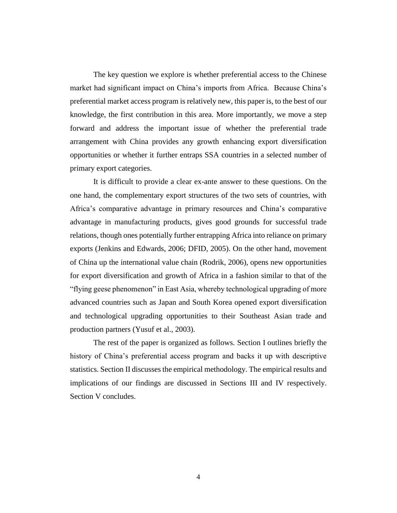The key question we explore is whether preferential access to the Chinese market had significant impact on China's imports from Africa. Because China's preferential market access program is relatively new, this paper is, to the best of our knowledge, the first contribution in this area. More importantly, we move a step forward and address the important issue of whether the preferential trade arrangement with China provides any growth enhancing export diversification opportunities or whether it further entraps SSA countries in a selected number of primary export categories.

It is difficult to provide a clear ex-ante answer to these questions. On the one hand, the complementary export structures of the two sets of countries, with Africa's comparative advantage in primary resources and China's comparative advantage in manufacturing products, gives good grounds for successful trade relations, though ones potentially further entrapping Africa into reliance on primary exports (Jenkins and Edwards, 2006; DFID, 2005). On the other hand, movement of China up the international value chain (Rodrik, 2006), opens new opportunities for export diversification and growth of Africa in a fashion similar to that of the "flying geese phenomenon" in East Asia, whereby technological upgrading of more advanced countries such as Japan and South Korea opened export diversification and technological upgrading opportunities to their Southeast Asian trade and production partners (Yusuf et al., 2003).

The rest of the paper is organized as follows. Section I outlines briefly the history of China's preferential access program and backs it up with descriptive statistics. Section II discusses the empirical methodology. The empirical results and implications of our findings are discussed in Sections III and IV respectively. Section V concludes.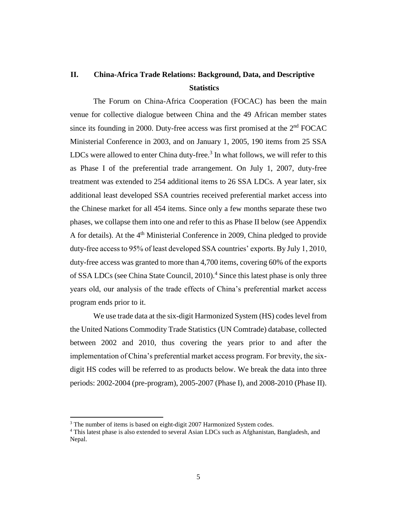# **II. China-Africa Trade Relations: Background, Data, and Descriptive Statistics**

The Forum on China-Africa Cooperation (FOCAC) has been the main venue for collective dialogue between China and the 49 African member states since its founding in 2000. Duty-free access was first promised at the  $2<sup>nd</sup>$  FOCAC Ministerial Conference in 2003, and on January 1, 2005, 190 items from 25 SSA LDCs were allowed to enter China duty-free. $3$  In what follows, we will refer to this as Phase I of the preferential trade arrangement. On July 1, 2007, duty-free treatment was extended to 254 additional items to 26 SSA LDCs. A year later, six additional least developed SSA countries received preferential market access into the Chinese market for all 454 items. Since only a few months separate these two phases, we collapse them into one and refer to this as Phase II below (see Appendix A for details). At the  $4<sup>th</sup>$  Ministerial Conference in 2009, China pledged to provide duty-free access to 95% of least developed SSA countries' exports. By July 1, 2010, duty-free access was granted to more than 4,700 items, covering 60% of the exports of SSA LDCs (see China State Council, 2010).<sup>4</sup> Since this latest phase is only three years old, our analysis of the trade effects of China's preferential market access program ends prior to it.

We use trade data at the six-digit Harmonized System (HS) codes level from the United Nations Commodity Trade Statistics (UN Comtrade) database, collected between 2002 and 2010, thus covering the years prior to and after the implementation of China's preferential market access program. For brevity, the sixdigit HS codes will be referred to as products below. We break the data into three periods: 2002-2004 (pre-program), 2005-2007 (Phase I), and 2008-2010 (Phase II).

<sup>&</sup>lt;sup>3</sup> The number of items is based on eight-digit 2007 Harmonized System codes.

<sup>4</sup> This latest phase is also extended to several Asian LDCs such as Afghanistan, Bangladesh, and Nepal.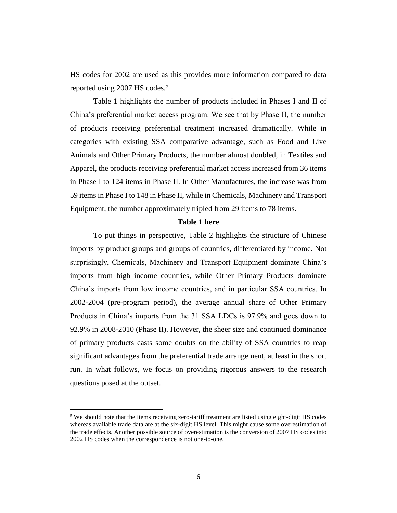HS codes for 2002 are used as this provides more information compared to data reported using 2007 HS codes.<sup>5</sup>

Table 1 highlights the number of products included in Phases I and II of China's preferential market access program. We see that by Phase II, the number of products receiving preferential treatment increased dramatically. While in categories with existing SSA comparative advantage, such as Food and Live Animals and Other Primary Products, the number almost doubled, in Textiles and Apparel, the products receiving preferential market access increased from 36 items in Phase I to 124 items in Phase II. In Other Manufactures, the increase was from 59 items in Phase I to 148 in Phase II, while in Chemicals, Machinery and Transport Equipment, the number approximately tripled from 29 items to 78 items.

#### **Table 1 here**

To put things in perspective, Table 2 highlights the structure of Chinese imports by product groups and groups of countries, differentiated by income. Not surprisingly, Chemicals, Machinery and Transport Equipment dominate China's imports from high income countries, while Other Primary Products dominate China's imports from low income countries, and in particular SSA countries. In 2002-2004 (pre-program period), the average annual share of Other Primary Products in China's imports from the 31 SSA LDCs is 97.9% and goes down to 92.9% in 2008-2010 (Phase II). However, the sheer size and continued dominance of primary products casts some doubts on the ability of SSA countries to reap significant advantages from the preferential trade arrangement, at least in the short run. In what follows, we focus on providing rigorous answers to the research questions posed at the outset.

<sup>&</sup>lt;sup>5</sup> We should note that the items receiving zero-tariff treatment are listed using eight-digit HS codes whereas available trade data are at the six-digit HS level. This might cause some overestimation of the trade effects. Another possible source of overestimation is the conversion of 2007 HS codes into 2002 HS codes when the correspondence is not one-to-one.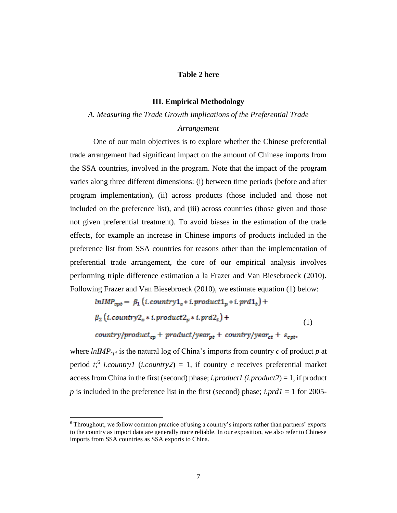#### **Table 2 here**

#### **III. Empirical Methodology**

#### *A. Measuring the Trade Growth Implications of the Preferential Trade*

#### *Arrangement*

One of our main objectives is to explore whether the Chinese preferential trade arrangement had significant impact on the amount of Chinese imports from the SSA countries, involved in the program. Note that the impact of the program varies along three different dimensions: (i) between time periods (before and after program implementation), (ii) across products (those included and those not included on the preference list), and (iii) across countries (those given and those not given preferential treatment). To avoid biases in the estimation of the trade effects, for example an increase in Chinese imports of products included in the preference list from SSA countries for reasons other than the implementation of preferential trade arrangement, the core of our empirical analysis involves performing triple difference estimation a la Frazer and Van Biesebroeck (2010). Following Frazer and Van Biesebroeck (2010), we estimate equation (1) below:

$$
lnIMP_{cpt} = \beta_1 (i.country1_c * i. product1_p * i. prd1_t)
$$

$$
\beta_2 (i.country2_c * i.product2_p * i.prd2_t) +
$$
  
country/product<sub>cp</sub> + product/year<sub>pt</sub> + country/year<sub>ct</sub> +  $\varepsilon_{cpt}$ , (1)

where *lnIMPcpt* is the natural log of China's imports from country *c* of product *p* at period  $t$ <sup>, 6</sup> *i.country1* (*i.country2*) = 1, if country *c* receives preferential market access from China in the first (second) phase; *i.product1 (i.product2*) = 1, if product *p* is included in the preference list in the first (second) phase; *i.prd1* = 1 for 2005-

<sup>6</sup> Throughout, we follow common practice of using a country's imports rather than partners' exports to the country as import data are generally more reliable. In our exposition, we also refer to Chinese imports from SSA countries as SSA exports to China.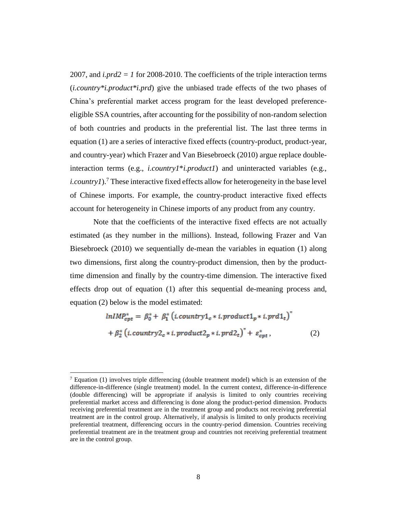2007, and  $i$ *prd2* = *1* for 2008-2010. The coefficients of the triple interaction terms (*i.country\*i.product\*i.prd*) give the unbiased trade effects of the two phases of China's preferential market access program for the least developed preferenceeligible SSA countries, after accounting for the possibility of non-random selection of both countries and products in the preferential list. The last three terms in equation (1) are a series of interactive fixed effects (country-product, product-year, and country-year) which Frazer and Van Biesebroeck (2010) argue replace doubleinteraction terms (e.g., *i.country1*\**i.product1*) and uninteracted variables (e.g., *i.country1*).<sup>7</sup> These interactive fixed effects allow for heterogeneity in the base level of Chinese imports. For example, the country-product interactive fixed effects account for heterogeneity in Chinese imports of any product from any country.

Note that the coefficients of the interactive fixed effects are not actually estimated (as they number in the millions). Instead, following Frazer and Van Biesebroeck (2010) we sequentially de-mean the variables in equation (1) along two dimensions, first along the country-product dimension, then by the producttime dimension and finally by the country-time dimension. The interactive fixed effects drop out of equation (1) after this sequential de-meaning process and, equation (2) below is the model estimated:

$$
lnIMP_{cpt}^* = \beta_0^* + \beta_1^* (i.country1_c * i.product1_p * i.prd1_t)^*
$$
  
+ 
$$
\beta_2^* (i.country2_c * i.product2_p * i.prd2_t)^* + \varepsilon_{cpt}^*,
$$
 (2)

l

 $^7$  Equation (1) involves triple differencing (double treatment model) which is an extension of the difference-in-difference (single treatment) model. In the current context, difference-in-difference (double differencing) will be appropriate if analysis is limited to only countries receiving preferential market access and differencing is done along the product-period dimension. Products receiving preferential treatment are in the treatment group and products not receiving preferential treatment are in the control group. Alternatively, if analysis is limited to only products receiving preferential treatment, differencing occurs in the country-period dimension. Countries receiving preferential treatment are in the treatment group and countries not receiving preferential treatment are in the control group.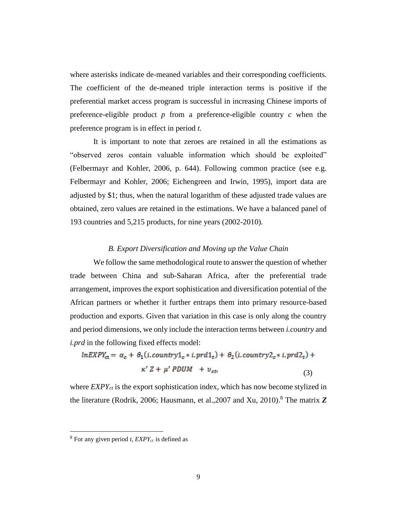where asterisks indicate de-meaned variables and their corresponding coefficients. The coefficient of the de-meaned triple interaction terms is positive if the preferential market access program is successful in increasing Chinese imports of preference-eligible product *p* from a preference-eligible country *c* when the preference program is in effect in period *t.* 

It is important to note that zeroes are retained in all the estimations as "observed zeros contain valuable information which should be exploited" (Felbermayr and Kohler, 2006, p. 644). Following common practice (see e.g. Felbermayr and Kohler, 2006; Eichengreen and Irwin, 1995), import data are adjusted by \$1; thus, when the natural logarithm of these adjusted trade values are obtained, zero values are retained in the estimations. We have a balanced panel of 193 countries and 5,215 products, for nine years (2002-2010).

#### *B. Export Diversification and Moving up the Value Chain*

We follow the same methodological route to answer the question of whether trade between China and sub-Saharan Africa, after the preferential trade arrangement, improves the export sophistication and diversification potential of the African partners or whether it further entraps them into primary resource-based production and exports. Given that variation in this case is only along the country and period dimensions, we only include the interaction terms between *i.country* and *i.prd* in the following fixed effects model:

$$
lnEXPY_{ct} = \alpha_c + \theta_1(i.country1_c * i.pdf_t) + \theta_2(i.country2_c * i.pdf_t) +
$$
  

$$
\kappa' Z + \mu' PDUM + v_{ct}
$$
 (3)

where *EXPYct* is the export sophistication index, which has now become stylized in the literature (Rodrik, 2006; Hausmann, et al.,2007 and Xu, 2010). <sup>8</sup> The matrix *Z*

<sup>&</sup>lt;sup>8</sup> For any given period *t*,  $EXPY_{ct}$  is defined as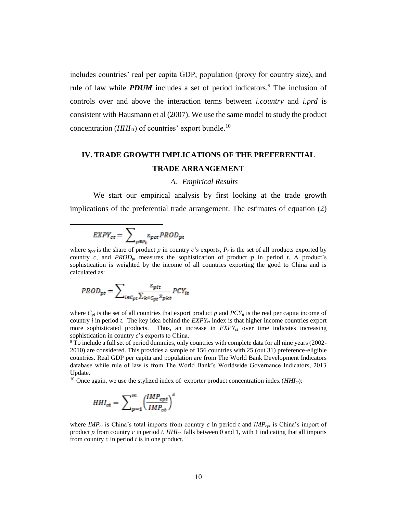includes countries' real per capita GDP, population (proxy for country size), and rule of law while **PDUM** includes a set of period indicators.<sup>9</sup> The inclusion of controls over and above the interaction terms between *i.country* and *i.prd* is consistent with Hausmann et al (2007). We use the same model to study the product concentration (*HHIct*) of countries' export bundle. 10

# **IV. TRADE GROWTH IMPLICATIONS OF THE PREFERENTIAL TRADE ARRANGEMENT**

#### *A. Empirical Results*

We start our empirical analysis by first looking at the trade growth implications of the preferential trade arrangement. The estimates of equation (2)

$$
EXPY_{ct} = \sum\nolimits_{p \in P_t} s_{pct} \, PROD_{pt}
$$

l

where  $s_{\text{pct}}$  is the share of product p in country *c*'s exports,  $P_t$  is the set of all products exported by country  $c$ , and *PROD*<sub>*pt*</sub> measures the sophistication of product  $p$  in period  $t$ . A product's sophistication is weighted by the income of all countries exporting the good to China and is calculated as:

$$
PROD_{pt} = \sum_{i \in C_{pt}} \frac{S_{pit}}{\sum_{k \in C_{pt}} S_{pkt}} PCY_{it}
$$

where  $C_{pt}$  is the set of all countries that export product  $p$  and  $PCY_{it}$  is the real per capita income of country *i* in period *t*. The key idea behind the *EXPYct* index is that higher income countries export more sophisticated products. Thus, an increase in  $EXPY_{ct}$  over time indicates increasing sophistication in country *c*'s exports to China.

<sup>9</sup> To include a full set of period dummies, only countries with complete data for all nine years (2002- 2010) are considered. This provides a sample of 156 countries with 25 (out 31) preference-eligible countries. Real GDP per capita and population are from The World Bank Development Indicators database while rule of law is from The World Bank's Worldwide Governance Indicators, 2013 Update.

<sup>10</sup> Once again, we use the stylized index of exporter product concentration index  $(HHI<sub>ct</sub>)$ :

$$
HHI_{ct} = \sum\nolimits_{p=1}^{m} {\left( \frac{IMP_{cpt}}{IMP_{ct}} \right)}^2
$$

where *IMP*<sub>ct</sub> is China's total imports from country *c* in period *t* and *IMP*<sub>cpt</sub> is China's import of product *p* from country *c* in period *t*.  $HHI_{ct}$  falls between 0 and 1, with 1 indicating that all imports from country *c* in period *t* is in one product.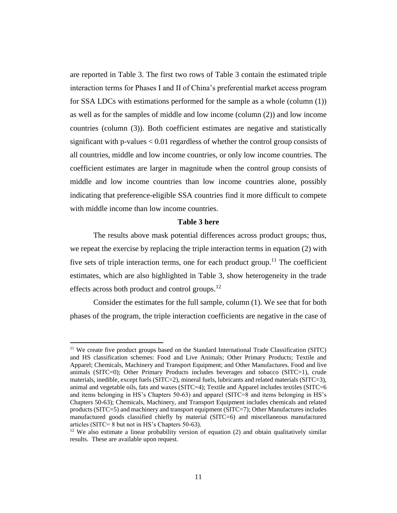are reported in Table 3. The first two rows of Table 3 contain the estimated triple interaction terms for Phases I and II of China's preferential market access program for SSA LDCs with estimations performed for the sample as a whole (column (1)) as well as for the samples of middle and low income (column (2)) and low income countries (column (3)). Both coefficient estimates are negative and statistically significant with p-values < 0.01 regardless of whether the control group consists of all countries, middle and low income countries, or only low income countries. The coefficient estimates are larger in magnitude when the control group consists of middle and low income countries than low income countries alone, possibly indicating that preference-eligible SSA countries find it more difficult to compete with middle income than low income countries.

#### **Table 3 here**

The results above mask potential differences across product groups; thus, we repeat the exercise by replacing the triple interaction terms in equation (2) with five sets of triple interaction terms, one for each product group.<sup>11</sup> The coefficient estimates, which are also highlighted in Table 3, show heterogeneity in the trade effects across both product and control groups.<sup>12</sup>

Consider the estimates for the full sample, column (1). We see that for both phases of the program, the triple interaction coefficients are negative in the case of

<sup>&</sup>lt;sup>11</sup> We create five product groups based on the Standard International Trade Classification (SITC) and HS classification schemes: Food and Live Animals; Other Primary Products; Textile and Apparel; Chemicals, Machinery and Transport Equipment; and Other Manufactures. Food and live animals (SITC=0); Other Primary Products includes beverages and tobacco (SITC=1), crude materials, inedible, except fuels (SITC=2), mineral fuels, lubricants and related materials (SITC=3), animal and vegetable oils, fats and waxes (SITC=4); Textile and Apparel includes textiles (SITC=6 and items belonging in HS's Chapters 50-63) and apparel (SITC=8 and items belonging in HS's Chapters 50-63); Chemicals, Machinery, and Transport Equipment includes chemicals and related products (SITC=5) and machinery and transport equipment (SITC=7); Other Manufactures includes manufactured goods classified chiefly by material (SITC=6) and miscellaneous manufactured articles (SITC= 8 but not in HS's Chapters 50-63).

 $12$  We also estimate a linear probability version of equation (2) and obtain qualitatively similar results. These are available upon request.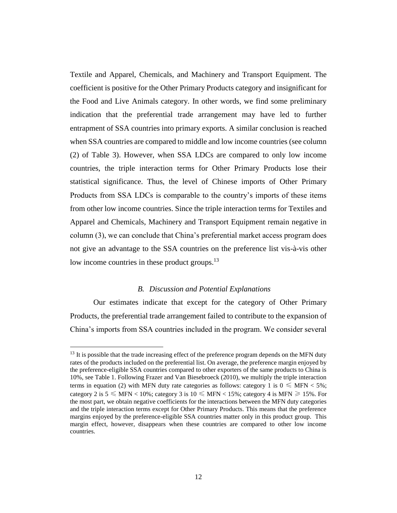Textile and Apparel, Chemicals, and Machinery and Transport Equipment. The coefficient is positive for the Other Primary Products category and insignificant for the Food and Live Animals category. In other words, we find some preliminary indication that the preferential trade arrangement may have led to further entrapment of SSA countries into primary exports. A similar conclusion is reached when SSA countries are compared to middle and low income countries (see column (2) of Table 3). However, when SSA LDCs are compared to only low income countries, the triple interaction terms for Other Primary Products lose their statistical significance. Thus, the level of Chinese imports of Other Primary Products from SSA LDCs is comparable to the country's imports of these items from other low income countries. Since the triple interaction terms for Textiles and Apparel and Chemicals, Machinery and Transport Equipment remain negative in column (3), we can conclude that China's preferential market access program does not give an advantage to the SSA countries on the preference list vis-à-vis other low income countries in these product groups.<sup>13</sup>

#### *B. Discussion and Potential Explanations*

Our estimates indicate that except for the category of Other Primary Products, the preferential trade arrangement failed to contribute to the expansion of China's imports from SSA countries included in the program. We consider several

l

<sup>&</sup>lt;sup>13</sup> It is possible that the trade increasing effect of the preference program depends on the MFN duty rates of the products included on the preferential list. On average, the preference margin enjoyed by the preference-eligible SSA countries compared to other exporters of the same products to China is 10%, see Table 1. Following Frazer and Van Biesebroeck (2010), we multiply the triple interaction terms in equation (2) with MFN duty rate categories as follows: category 1 is  $0 \leq MFN < 5\%$ ; category 2 is  $5 \leq MFN < 10\%$ ; category 3 is  $10 \leq MFN < 15\%$ ; category 4 is MFN  $\geq 15\%$ . For the most part, we obtain negative coefficients for the interactions between the MFN duty categories and the triple interaction terms except for Other Primary Products. This means that the preference margins enjoyed by the preference-eligible SSA countries matter only in this product group. This margin effect, however, disappears when these countries are compared to other low income countries.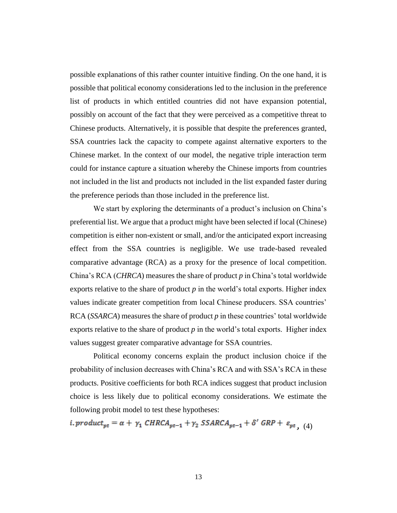possible explanations of this rather counter intuitive finding. On the one hand, it is possible that political economy considerations led to the inclusion in the preference list of products in which entitled countries did not have expansion potential, possibly on account of the fact that they were perceived as a competitive threat to Chinese products. Alternatively, it is possible that despite the preferences granted, SSA countries lack the capacity to compete against alternative exporters to the Chinese market. In the context of our model, the negative triple interaction term could for instance capture a situation whereby the Chinese imports from countries not included in the list and products not included in the list expanded faster during the preference periods than those included in the preference list.

We start by exploring the determinants of a product's inclusion on China's preferential list. We argue that a product might have been selected if local (Chinese) competition is either non-existent or small, and/or the anticipated export increasing effect from the SSA countries is negligible. We use trade-based revealed comparative advantage (RCA) as a proxy for the presence of local competition. China's RCA (*CHRCA*) measures the share of product *p* in China's total worldwide exports relative to the share of product  $p$  in the world's total exports. Higher index values indicate greater competition from local Chinese producers. SSA countries' RCA (*SSARCA*) measures the share of product *p* in these countries' total worldwide exports relative to the share of product  $p$  in the world's total exports. Higher index values suggest greater comparative advantage for SSA countries.

Political economy concerns explain the product inclusion choice if the probability of inclusion decreases with China's RCA and with SSA's RCA in these products. Positive coefficients for both RCA indices suggest that product inclusion choice is less likely due to political economy considerations. We estimate the following probit model to test these hypotheses:

i. product<sub>pt</sub> =  $\alpha$  +  $\gamma_1$  CHRCA<sub>pt-1</sub> +  $\gamma_2$  SSARCA<sub>pt-1</sub> +  $\delta'$  GRP +  $\varepsilon_{pt}$ , (4)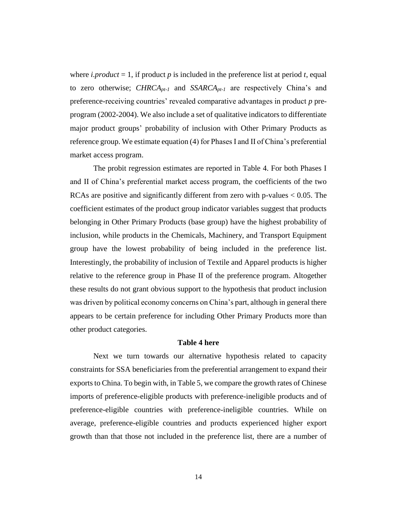where *i.product* = 1, if product  $p$  is included in the preference list at period  $t$ , equal to zero otherwise; *CHRCApt-1* and *SSARCApt-1* are respectively China's and preference-receiving countries' revealed comparative advantages in product *p* preprogram (2002-2004). We also include a set of qualitative indicators to differentiate major product groups' probability of inclusion with Other Primary Products as reference group. We estimate equation (4) for Phases I and II of China's preferential market access program.

The probit regression estimates are reported in Table 4. For both Phases I and II of China's preferential market access program, the coefficients of the two RCAs are positive and significantly different from zero with p-values < 0.05. The coefficient estimates of the product group indicator variables suggest that products belonging in Other Primary Products (base group) have the highest probability of inclusion, while products in the Chemicals, Machinery, and Transport Equipment group have the lowest probability of being included in the preference list. Interestingly, the probability of inclusion of Textile and Apparel products is higher relative to the reference group in Phase II of the preference program. Altogether these results do not grant obvious support to the hypothesis that product inclusion was driven by political economy concerns on China's part, although in general there appears to be certain preference for including Other Primary Products more than other product categories.

#### **Table 4 here**

Next we turn towards our alternative hypothesis related to capacity constraints for SSA beneficiaries from the preferential arrangement to expand their exports to China. To begin with, in Table 5, we compare the growth rates of Chinese imports of preference-eligible products with preference-ineligible products and of preference-eligible countries with preference-ineligible countries. While on average, preference-eligible countries and products experienced higher export growth than that those not included in the preference list, there are a number of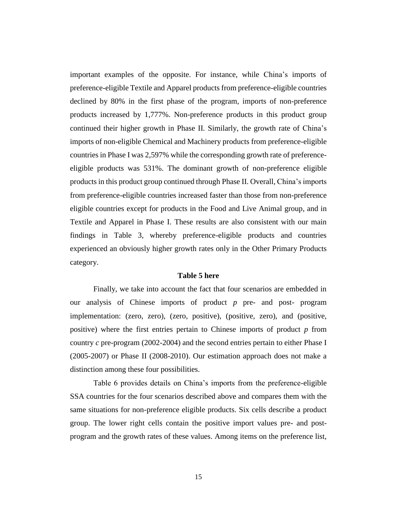important examples of the opposite. For instance, while China's imports of preference-eligible Textile and Apparel products from preference-eligible countries declined by 80% in the first phase of the program, imports of non-preference products increased by 1,777%. Non-preference products in this product group continued their higher growth in Phase II. Similarly, the growth rate of China's imports of non-eligible Chemical and Machinery products from preference-eligible countries in Phase I was 2,597% while the corresponding growth rate of preferenceeligible products was 531%. The dominant growth of non-preference eligible products in this product group continued through Phase II. Overall, China's imports from preference-eligible countries increased faster than those from non-preference eligible countries except for products in the Food and Live Animal group, and in Textile and Apparel in Phase I. These results are also consistent with our main findings in Table 3, whereby preference-eligible products and countries experienced an obviously higher growth rates only in the Other Primary Products category.

#### **Table 5 here**

Finally, we take into account the fact that four scenarios are embedded in our analysis of Chinese imports of product *p* pre- and post- program implementation: (zero, zero), (zero, positive), (positive, zero), and (positive, positive) where the first entries pertain to Chinese imports of product *p* from country *c* pre-program (2002-2004) and the second entries pertain to either Phase I (2005-2007) or Phase II (2008-2010). Our estimation approach does not make a distinction among these four possibilities.

Table 6 provides details on China's imports from the preference-eligible SSA countries for the four scenarios described above and compares them with the same situations for non-preference eligible products. Six cells describe a product group. The lower right cells contain the positive import values pre- and postprogram and the growth rates of these values. Among items on the preference list,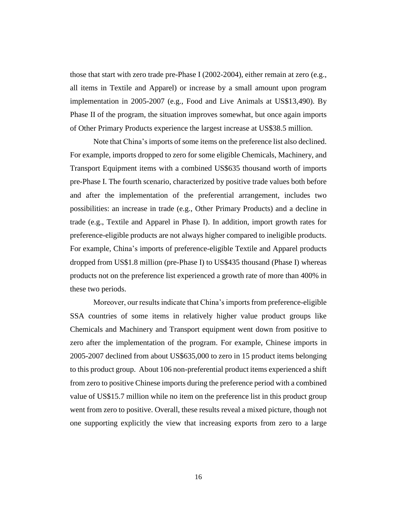those that start with zero trade pre-Phase I (2002-2004), either remain at zero (e.g., all items in Textile and Apparel) or increase by a small amount upon program implementation in 2005-2007 (e.g., Food and Live Animals at US\$13,490). By Phase II of the program, the situation improves somewhat, but once again imports of Other Primary Products experience the largest increase at US\$38.5 million.

Note that China's imports of some items on the preference list also declined. For example, imports dropped to zero for some eligible Chemicals, Machinery, and Transport Equipment items with a combined US\$635 thousand worth of imports pre-Phase I. The fourth scenario, characterized by positive trade values both before and after the implementation of the preferential arrangement, includes two possibilities: an increase in trade (e.g., Other Primary Products) and a decline in trade (e.g., Textile and Apparel in Phase I). In addition, import growth rates for preference-eligible products are not always higher compared to ineligible products. For example, China's imports of preference-eligible Textile and Apparel products dropped from US\$1.8 million (pre-Phase I) to US\$435 thousand (Phase I) whereas products not on the preference list experienced a growth rate of more than 400% in these two periods.

Moreover, our results indicate that China's imports from preference-eligible SSA countries of some items in relatively higher value product groups like Chemicals and Machinery and Transport equipment went down from positive to zero after the implementation of the program. For example, Chinese imports in 2005-2007 declined from about US\$635,000 to zero in 15 product items belonging to this product group. About 106 non-preferential product items experienced a shift from zero to positive Chinese imports during the preference period with a combined value of US\$15.7 million while no item on the preference list in this product group went from zero to positive. Overall, these results reveal a mixed picture, though not one supporting explicitly the view that increasing exports from zero to a large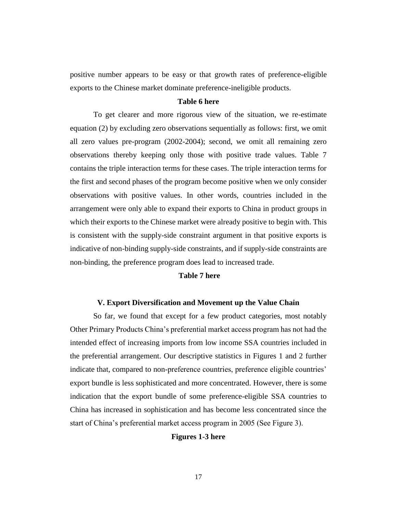positive number appears to be easy or that growth rates of preference-eligible exports to the Chinese market dominate preference-ineligible products.

#### **Table 6 here**

To get clearer and more rigorous view of the situation, we re-estimate equation (2) by excluding zero observations sequentially as follows: first, we omit all zero values pre-program (2002-2004); second, we omit all remaining zero observations thereby keeping only those with positive trade values. Table 7 contains the triple interaction terms for these cases. The triple interaction terms for the first and second phases of the program become positive when we only consider observations with positive values. In other words, countries included in the arrangement were only able to expand their exports to China in product groups in which their exports to the Chinese market were already positive to begin with. This is consistent with the supply-side constraint argument in that positive exports is indicative of non-binding supply-side constraints, and if supply-side constraints are non-binding, the preference program does lead to increased trade.

#### **Table 7 here**

#### **V. Export Diversification and Movement up the Value Chain**

So far, we found that except for a few product categories, most notably Other Primary Products China's preferential market access program has not had the intended effect of increasing imports from low income SSA countries included in the preferential arrangement. Our descriptive statistics in Figures 1 and 2 further indicate that, compared to non-preference countries, preference eligible countries' export bundle is less sophisticated and more concentrated. However, there is some indication that the export bundle of some preference-eligible SSA countries to China has increased in sophistication and has become less concentrated since the start of China's preferential market access program in 2005 (See Figure 3).

#### **Figures 1-3 here**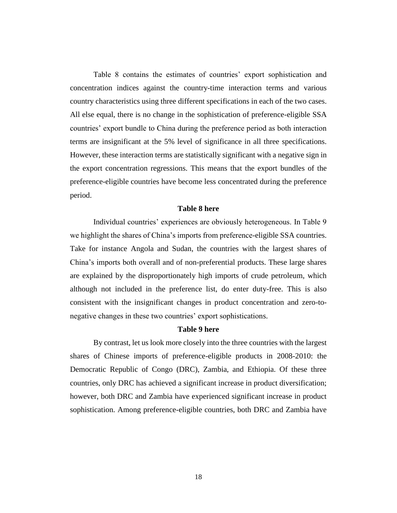Table 8 contains the estimates of countries' export sophistication and concentration indices against the country-time interaction terms and various country characteristics using three different specifications in each of the two cases. All else equal, there is no change in the sophistication of preference-eligible SSA countries' export bundle to China during the preference period as both interaction terms are insignificant at the 5% level of significance in all three specifications. However, these interaction terms are statistically significant with a negative sign in the export concentration regressions. This means that the export bundles of the preference-eligible countries have become less concentrated during the preference period.

#### **Table 8 here**

Individual countries' experiences are obviously heterogeneous. In Table 9 we highlight the shares of China's imports from preference-eligible SSA countries. Take for instance Angola and Sudan, the countries with the largest shares of China's imports both overall and of non-preferential products. These large shares are explained by the disproportionately high imports of crude petroleum, which although not included in the preference list, do enter duty-free. This is also consistent with the insignificant changes in product concentration and zero-tonegative changes in these two countries' export sophistications.

#### **Table 9 here**

By contrast, let us look more closely into the three countries with the largest shares of Chinese imports of preference-eligible products in 2008-2010: the Democratic Republic of Congo (DRC), Zambia, and Ethiopia. Of these three countries, only DRC has achieved a significant increase in product diversification; however, both DRC and Zambia have experienced significant increase in product sophistication. Among preference-eligible countries, both DRC and Zambia have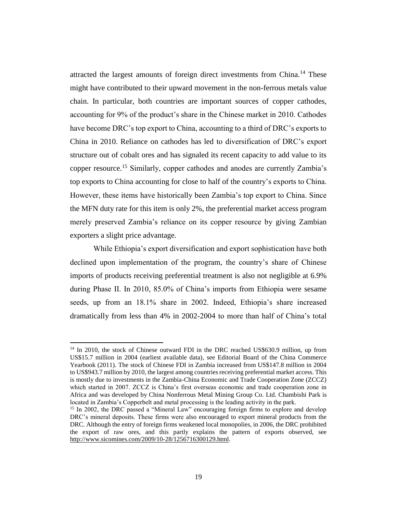attracted the largest amounts of foreign direct investments from China.<sup>14</sup> These might have contributed to their upward movement in the non-ferrous metals value chain. In particular, both countries are important sources of copper cathodes, accounting for 9% of the product's share in the Chinese market in 2010. Cathodes have become DRC's top export to China, accounting to a third of DRC's exports to China in 2010. Reliance on cathodes has led to diversification of DRC's export structure out of cobalt ores and has signaled its recent capacity to add value to its copper resource.<sup>15</sup> Similarly, copper cathodes and anodes are currently Zambia's top exports to China accounting for close to half of the country's exports to China. However, these items have historically been Zambia's top export to China. Since the MFN duty rate for this item is only 2%, the preferential market access program merely preserved Zambia's reliance on its copper resource by giving Zambian exporters a slight price advantage.

While Ethiopia's export diversification and export sophistication have both declined upon implementation of the program, the country's share of Chinese imports of products receiving preferential treatment is also not negligible at 6.9% during Phase II. In 2010, 85.0% of China's imports from Ethiopia were sesame seeds, up from an 18.1% share in 2002. Indeed, Ethiopia's share increased dramatically from less than 4% in 2002-2004 to more than half of China's total

<sup>&</sup>lt;sup>14</sup> In 2010, the stock of Chinese outward FDI in the DRC reached US\$630.9 million, up from US\$15.7 million in 2004 (earliest available data), see Editorial Board of the China Commerce Yearbook (2011). The stock of Chinese FDI in Zambia increased from US\$147.8 million in 2004 to US\$943.7 million by 2010, the largest among countries receiving preferential market access. This is mostly due to investments in the Zambia-China Economic and Trade Cooperation Zone (ZCCZ) which started in 2007. ZCCZ is China's first overseas economic and trade cooperation zone in Africa and was developed by China Nonferrous Metal Mining Group Co. Ltd. Chambishi Park is located in Zambia's Copperbelt and metal processing is the leading activity in the park.

<sup>&</sup>lt;sup>15</sup> In 2002, the DRC passed a "Mineral Law" encouraging foreign firms to explore and develop DRC's mineral deposits. These firms were also encouraged to export mineral products from the DRC. Although the entry of foreign firms weakened local monopolies, in 2006, the DRC prohibited the export of raw ores, and this partly explains the pattern of exports observed, see [http://www.sicomines.com/2009/10-28/1256716300129.html.](http://www.sicomines.com/2009/10-28/1256716300129.html)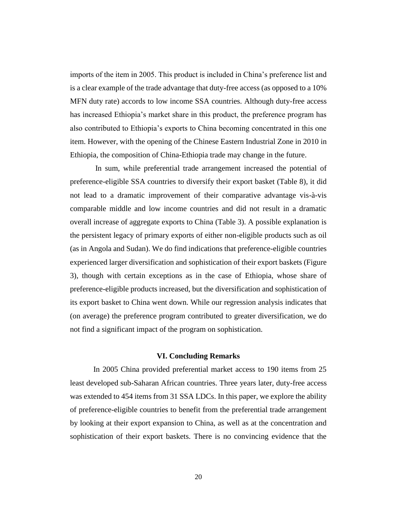imports of the item in 2005. This product is included in China's preference list and is a clear example of the trade advantage that duty-free access (as opposed to a 10% MFN duty rate) accords to low income SSA countries. Although duty-free access has increased Ethiopia's market share in this product, the preference program has also contributed to Ethiopia's exports to China becoming concentrated in this one item. However, with the opening of the Chinese Eastern Industrial Zone in 2010 in Ethiopia, the composition of China-Ethiopia trade may change in the future.

In sum, while preferential trade arrangement increased the potential of preference-eligible SSA countries to diversify their export basket (Table 8), it did not lead to a dramatic improvement of their comparative advantage vis-à-vis comparable middle and low income countries and did not result in a dramatic overall increase of aggregate exports to China (Table 3). A possible explanation is the persistent legacy of primary exports of either non-eligible products such as oil (as in Angola and Sudan). We do find indications that preference-eligible countries experienced larger diversification and sophistication of their export baskets (Figure 3), though with certain exceptions as in the case of Ethiopia, whose share of preference-eligible products increased, but the diversification and sophistication of its export basket to China went down. While our regression analysis indicates that (on average) the preference program contributed to greater diversification, we do not find a significant impact of the program on sophistication.

#### **VI. Concluding Remarks**

In 2005 China provided preferential market access to 190 items from 25 least developed sub-Saharan African countries. Three years later, duty-free access was extended to 454 items from 31 SSA LDCs. In this paper, we explore the ability of preference-eligible countries to benefit from the preferential trade arrangement by looking at their export expansion to China, as well as at the concentration and sophistication of their export baskets. There is no convincing evidence that the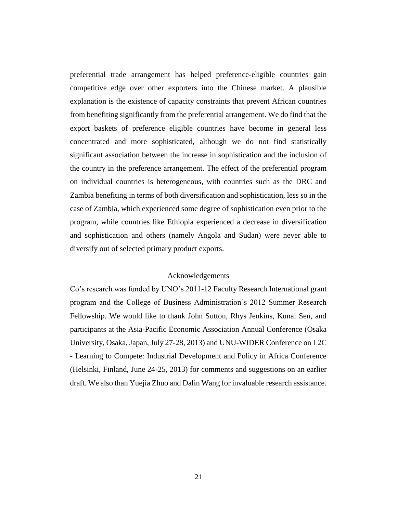preferential trade arrangement has helped preference-eligible countries gain competitive edge over other exporters into the Chinese market. A plausible explanation is the existence of capacity constraints that prevent African countries from benefiting significantly from the preferential arrangement. We do find that the export baskets of preference eligible countries have become in general less concentrated and more sophisticated, although we do not find statistically significant association between the increase in sophistication and the inclusion of the country in the preference arrangement. The effect of the preferential program on individual countries is heterogeneous, with countries such as the DRC and Zambia benefiting in terms of both diversification and sophistication, less so in the case of Zambia, which experienced some degree of sophistication even prior to the program, while countries like Ethiopia experienced a decrease in diversification and sophistication and others (namely Angola and Sudan) were never able to diversify out of selected primary product exports.

#### Acknowledgements

Co's research was funded by UNO's 2011-12 Faculty Research International grant program and the College of Business Administration's 2012 Summer Research Fellowship. We would like to thank John Sutton, Rhys Jenkins, Kunal Sen, and participants at the Asia-Pacific Economic Association Annual Conference (Osaka University, Osaka, Japan, July 27-28, 2013) and UNU-WIDER Conference on L2C - Learning to Compete: Industrial Development and Policy in Africa Conference (Helsinki, Finland, June 24-25, 2013) for comments and suggestions on an earlier draft. We also than Yuejia Zhuo and Dalin Wang for invaluable research assistance.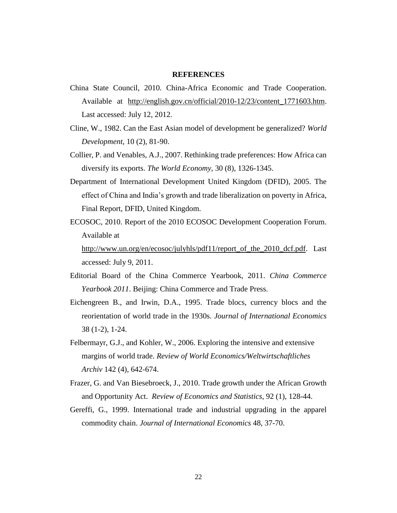#### **REFERENCES**

- China State Council, 2010. China-Africa Economic and Trade Cooperation. Available at [http://english.gov.cn/official/2010-12/23/content\\_1771603.htm.](http://english.gov.cn/official/2010-12/23/content_1771603.htm) Last accessed: July 12, 2012.
- Cline, W., 1982. Can the East Asian model of development be generalized? *World Development*, 10 (2), 81-90.
- Collier, P. and Venables, A.J., 2007. Rethinking trade preferences: How Africa can diversify its exports. *The World Economy*, 30 (8), 1326-1345.
- Department of International Development United Kingdom (DFID), 2005. The effect of China and India's growth and trade liberalization on poverty in Africa, Final Report, DFID, United Kingdom.
- ECOSOC, 2010. Report of the 2010 ECOSOC Development Cooperation Forum. Available at

[http://www.un.org/en/ecosoc/julyhls/pdf11/report\\_of\\_the\\_2010\\_dcf.pdf.](http://www.un.org/en/ecosoc/julyhls/pdf11/report_of_the_2010_dcf.pdf) Last accessed: July 9, 2011.

- Editorial Board of the China Commerce Yearbook, 2011. *China Commerce Yearbook 2011*. Beijing: China Commerce and Trade Press.
- Eichengreen B., and Irwin, D.A., 1995. Trade blocs, currency blocs and the reorientation of world trade in the 1930s. *Journal of International Economics* 38 (1-2), 1-24.
- Felbermayr, G.J., and Kohler, W., 2006. Exploring the intensive and extensive margins of world trade. *Review of World Economics/Weltwirtschaftliches Archiv* 142 (4), 642-674.
- Frazer, G. and Van Biesebroeck, J., 2010. Trade growth under the African Growth and Opportunity Act. *Review of Economics and Statistics*, 92 (1), 128-44.
- Gereffi, G., 1999. International trade and industrial upgrading in the apparel commodity chain. *Journal of International Economics* 48, 37-70.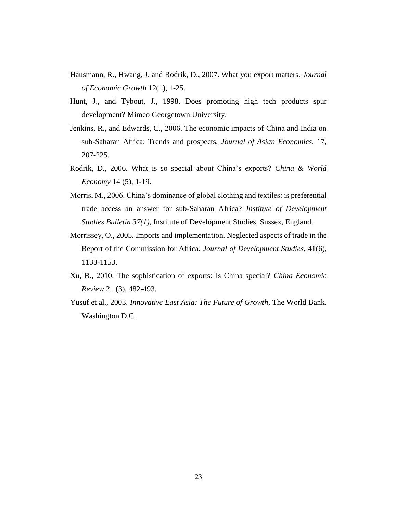- Hausmann, R., Hwang, J. and Rodrik, D., 2007. What you export matters. *Journal of Economic Growth* 12(1), 1-25.
- Hunt, J., and Tybout, J., 1998. Does promoting high tech products spur development? Mimeo Georgetown University.
- Jenkins, R., and Edwards, C., 2006. The economic impacts of China and India on sub-Saharan Africa: Trends and prospects, *Journal of Asian Economics*, 17, 207-225.
- Rodrik, D., 2006. What is so special about China's exports? *China & World Economy* 14 (5), 1-19.
- Morris, M., 2006. China's dominance of global clothing and textiles: is preferential trade access an answer for sub-Saharan Africa? *Institute of Development Studies Bulletin 37(1)*, Institute of Development Studies, Sussex, England.
- Morrissey, O., 2005. Imports and implementation. Neglected aspects of trade in the Report of the Commission for Africa. *Journal of Development Studies*, 41(6), 1133-1153.
- Xu, B., 2010. The sophistication of exports: Is China special? *China Economic Review* 21 (3), 482-493.
- Yusuf et al., 2003. *Innovative East Asia: The Future of Growth*, The World Bank. Washington D.C.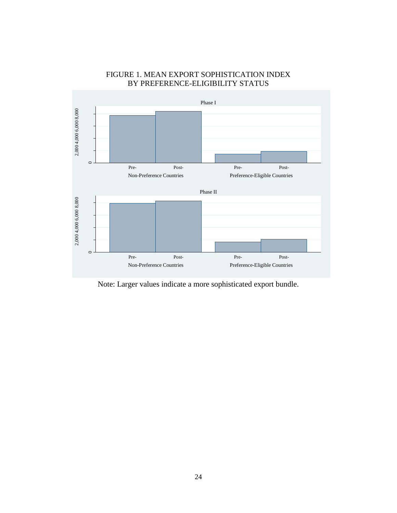

### FIGURE 1. MEAN EXPORT SOPHISTICATION INDEX BY PREFERENCE-ELIGIBILITY STATUS

Note: Larger values indicate a more sophisticated export bundle.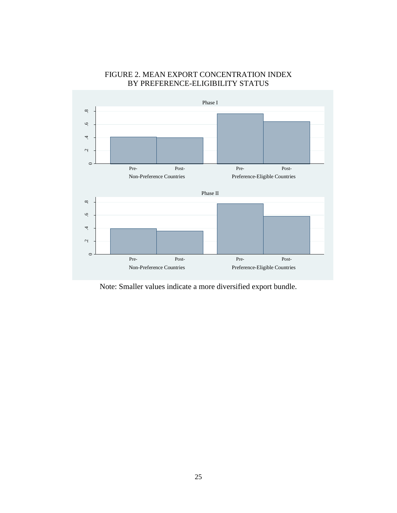

### FIGURE 2. MEAN EXPORT CONCENTRATION INDEX BY PREFERENCE-ELIGIBILITY STATUS

Note: Smaller values indicate a more diversified export bundle.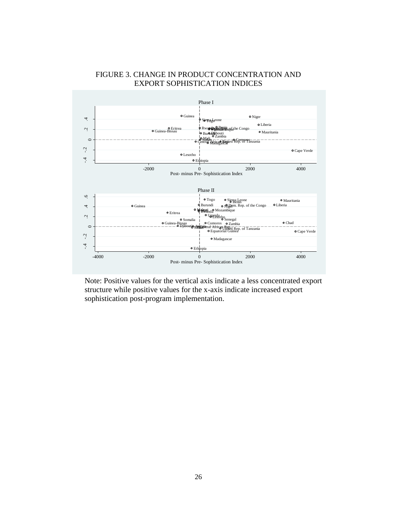

### FIGURE 3. CHANGE IN PRODUCT CONCENTRATION AND EXPORT SOPHISTICATION INDICES

Note: Positive values for the vertical axis indicate a less concentrated export structure while positive values for the x-axis indicate increased export sophistication post-program implementation.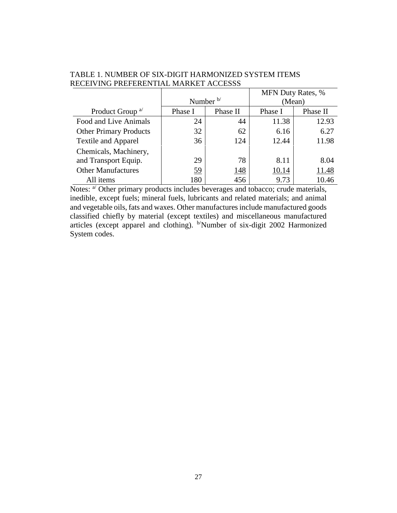|                               |                     |             | <b>MFN Duty Rates, %</b> |          |
|-------------------------------|---------------------|-------------|--------------------------|----------|
|                               | Number $\mathbf{b}$ |             |                          | (Mean)   |
| Product Group <sup>a/</sup>   | Phase I             | Phase II    | Phase I                  | Phase II |
| Food and Live Animals         | 24                  | 44          | 11.38                    | 12.93    |
| <b>Other Primary Products</b> | 32                  | 62          | 6.16                     | 6.27     |
| <b>Textile and Apparel</b>    | 36                  | 124         | 12.44                    | 11.98    |
| Chemicals, Machinery,         |                     |             |                          |          |
| and Transport Equip.          | 29                  | 78          | 8.11                     | 8.04     |
| <b>Other Manufactures</b>     | 59                  | <u> 148</u> | 10.14                    | 11.48    |
| All items                     | 180                 | 456         | 9.73                     | 10.46    |

TABLE 1. NUMBER OF SIX-DIGIT HARMONIZED SYSTEM ITEMS RECEIVING PREFERENTIAL MARKET ACCESSS

Notes:  $a^{j}$  Other primary products includes beverages and tobacco; crude materials, inedible, except fuels; mineral fuels, lubricants and related materials; and animal and vegetable oils, fats and waxes. Other manufactures include manufactured goods classified chiefly by material (except textiles) and miscellaneous manufactured articles (except apparel and clothing). b/Number of six-digit 2002 Harmonized System codes.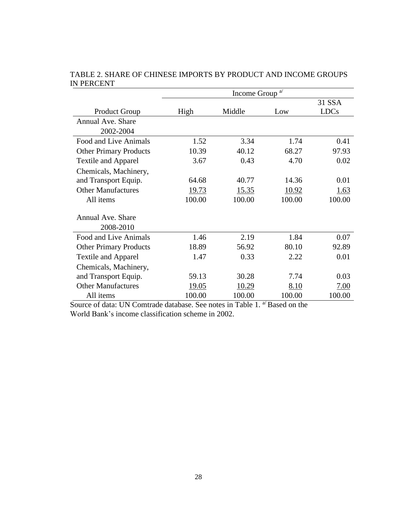|                                | Income Group <sup>a/</sup> |        |        |                       |  |  |
|--------------------------------|----------------------------|--------|--------|-----------------------|--|--|
| <b>Product Group</b>           | High                       | Middle | Low    | 31 SSA<br><b>LDCs</b> |  |  |
| Annual Ave. Share<br>2002-2004 |                            |        |        |                       |  |  |
| Food and Live Animals          | 1.52                       | 3.34   | 1.74   | 0.41                  |  |  |
| <b>Other Primary Products</b>  | 10.39                      | 40.12  | 68.27  | 97.93                 |  |  |
| <b>Textile and Apparel</b>     | 3.67                       | 0.43   | 4.70   | 0.02                  |  |  |
| Chemicals, Machinery,          |                            |        |        |                       |  |  |
| and Transport Equip.           | 64.68                      | 40.77  | 14.36  | 0.01                  |  |  |
| <b>Other Manufactures</b>      | 19.73                      | 15.35  | 10.92  | 1.63                  |  |  |
| All items                      | 100.00                     | 100.00 | 100.00 | 100.00                |  |  |
| Annual Ave. Share<br>2008-2010 |                            |        |        |                       |  |  |
| Food and Live Animals          | 1.46                       | 2.19   | 1.84   | 0.07                  |  |  |
| <b>Other Primary Products</b>  | 18.89                      | 56.92  | 80.10  | 92.89                 |  |  |
| <b>Textile and Apparel</b>     | 1.47                       | 0.33   | 2.22   | 0.01                  |  |  |
| Chemicals, Machinery,          |                            |        |        |                       |  |  |
| and Transport Equip.           | 59.13                      | 30.28  | 7.74   | 0.03                  |  |  |
| <b>Other Manufactures</b>      | 19.05                      | 10.29  | 8.10   | 7.00                  |  |  |
| All items                      | 100.00                     | 100.00 | 100.00 | 100.00                |  |  |

TABLE 2. SHARE OF CHINESE IMPORTS BY PRODUCT AND INCOME GROUPS IN PERCENT

Source of data: UN Comtrade database. See notes in Table 1. <sup>a/</sup> Based on the World Bank's income classification scheme in 2002.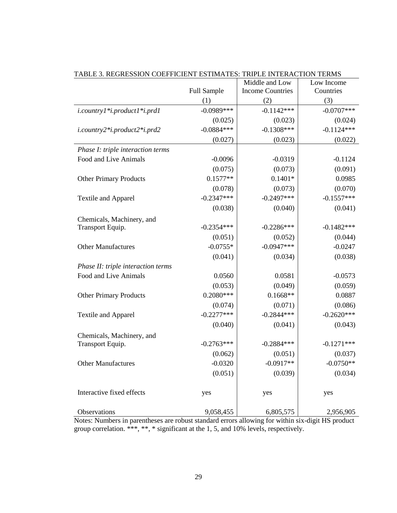|                                    |              | Middle and Low          | Low Income   |
|------------------------------------|--------------|-------------------------|--------------|
|                                    | Full Sample  | <b>Income Countries</b> | Countries    |
|                                    | (1)          | (2)                     | (3)          |
| i.country1*i.product1*i.prd1       | $-0.0989***$ | $-0.1142***$            | $-0.0707***$ |
|                                    | (0.025)      | (0.023)                 | (0.024)      |
| i.country2*i.product2*i.prd2       | $-0.0884***$ | $-0.1308***$            | $-0.1124***$ |
|                                    | (0.027)      | (0.023)                 | (0.022)      |
| Phase I: triple interaction terms  |              |                         |              |
| Food and Live Animals              | $-0.0096$    | $-0.0319$               | $-0.1124$    |
|                                    | (0.075)      | (0.073)                 | (0.091)      |
| <b>Other Primary Products</b>      | $0.1577**$   | $0.1401*$               | 0.0985       |
|                                    | (0.078)      | (0.073)                 | (0.070)      |
| Textile and Apparel                | $-0.2347***$ | $-0.2497***$            | $-0.1557***$ |
|                                    | (0.038)      | (0.040)                 | (0.041)      |
| Chemicals, Machinery, and          |              |                         |              |
| Transport Equip.                   | $-0.2354***$ | $-0.2286***$            | $-0.1482***$ |
|                                    | (0.051)      | (0.052)                 | (0.044)      |
| <b>Other Manufactures</b>          | $-0.0755*$   | $-0.0947***$            | $-0.0247$    |
|                                    | (0.041)      | (0.034)                 | (0.038)      |
| Phase II: triple interaction terms |              |                         |              |
| Food and Live Animals              | 0.0560       | 0.0581                  | $-0.0573$    |
|                                    | (0.053)      | (0.049)                 | (0.059)      |
| <b>Other Primary Products</b>      | $0.2080***$  | $0.1668**$              | 0.0887       |
|                                    | (0.074)      | (0.071)                 | (0.086)      |
| <b>Textile and Apparel</b>         | $-0.2277***$ | $-0.2844***$            | $-0.2620***$ |
|                                    | (0.040)      | (0.041)                 | (0.043)      |
| Chemicals, Machinery, and          |              |                         |              |
| Transport Equip.                   | $-0.2763***$ | $-0.2884***$            | $-0.1271***$ |
|                                    | (0.062)      | (0.051)                 | (0.037)      |
| <b>Other Manufactures</b>          | $-0.0320$    | $-0.0917**$             | $-0.0750**$  |
|                                    | (0.051)      | (0.039)                 | (0.034)      |
|                                    |              |                         |              |
| Interactive fixed effects          | yes          | yes                     | yes          |
|                                    |              |                         |              |
| Observations                       | 9,058,455    | 6,805,575               | 2,956,905    |

TABLE 3. REGRESSION COEFFICIENT ESTIMATES: TRIPLE INTERACTION TERMS

Notes: Numbers in parentheses are robust standard errors allowing for within six-digit HS product group correlation. \*\*\*, \*\*, \* significant at the 1, 5, and 10% levels, respectively.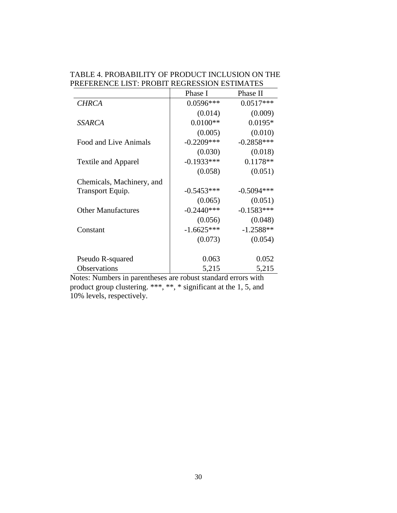| PREFERENCE LIST: PROBIT REGRESSION ESTIMATES | TABLE 4. PROBABILITY OF PRODUCT INCLUSION ON THE |
|----------------------------------------------|--------------------------------------------------|
|                                              |                                                  |

|                            | Phase I      | Phase II     |
|----------------------------|--------------|--------------|
| <b>CHRCA</b>               | $0.0596***$  | $0.0517***$  |
|                            | (0.014)      | (0.009)      |
| <b>SSARCA</b>              | $0.0100**$   | $0.0195*$    |
|                            | (0.005)      | (0.010)      |
| Food and Live Animals      | $-0.2209***$ | $-0.2858***$ |
|                            | (0.030)      | (0.018)      |
| <b>Textile and Apparel</b> | $-0.1933***$ | $0.1178**$   |
|                            | (0.058)      | (0.051)      |
| Chemicals, Machinery, and  |              |              |
| Transport Equip.           | $-0.5453***$ | $-0.5094***$ |
|                            | (0.065)      | (0.051)      |
| <b>Other Manufactures</b>  | $-0.2440***$ | $-0.1583***$ |
|                            | (0.056)      | (0.048)      |
| Constant                   | $-1.6625***$ | $-1.2588**$  |
|                            | (0.073)      | (0.054)      |
|                            |              |              |
| Pseudo R-squared           | 0.063        | 0.052        |
| Observations               | 5,215        | 5,215        |

Notes: Numbers in parentheses are robust standard errors with product group clustering. \*\*\*, \*\*, \* significant at the 1, 5, and 10% levels, respectively.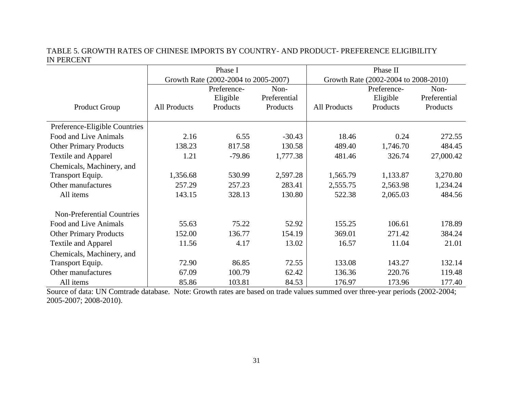### TABLE 5. GROWTH RATES OF CHINESE IMPORTS BY COUNTRY- AND PRODUCT- PREFERENCE ELIGIBILITY IN PERCENT

|                                   |              | Phase I                              |              | Phase II                             |             |              |
|-----------------------------------|--------------|--------------------------------------|--------------|--------------------------------------|-------------|--------------|
|                                   |              | Growth Rate (2002-2004 to 2005-2007) |              | Growth Rate (2002-2004 to 2008-2010) |             |              |
|                                   |              | Preference-                          | Non-         |                                      | Preference- | Non-         |
|                                   |              | Eligible                             | Preferential |                                      | Eligible    | Preferential |
| <b>Product Group</b>              | All Products | Products                             | Products     | <b>All Products</b>                  | Products    | Products     |
|                                   |              |                                      |              |                                      |             |              |
| Preference-Eligible Countries     |              |                                      |              |                                      |             |              |
| Food and Live Animals             | 2.16         | 6.55                                 | $-30.43$     | 18.46                                | 0.24        | 272.55       |
| <b>Other Primary Products</b>     | 138.23       | 817.58                               | 130.58       | 489.40                               | 1,746.70    | 484.45       |
| <b>Textile and Apparel</b>        | 1.21         | $-79.86$                             | 1,777.38     | 481.46                               | 326.74      | 27,000.42    |
| Chemicals, Machinery, and         |              |                                      |              |                                      |             |              |
| Transport Equip.                  | 1,356.68     | 530.99                               | 2,597.28     | 1,565.79                             | 1,133.87    | 3,270.80     |
| Other manufactures                | 257.29       | 257.23                               | 283.41       | 2,555.75                             | 2,563.98    | 1,234.24     |
| All items                         | 143.15       | 328.13                               | 130.80       | 522.38                               | 2,065.03    | 484.56       |
|                                   |              |                                      |              |                                      |             |              |
| <b>Non-Preferential Countries</b> |              |                                      |              |                                      |             |              |
| Food and Live Animals             | 55.63        | 75.22                                | 52.92        | 155.25                               | 106.61      | 178.89       |
| <b>Other Primary Products</b>     | 152.00       | 136.77                               | 154.19       | 369.01                               | 271.42      | 384.24       |
| <b>Textile and Apparel</b>        | 11.56        | 4.17                                 | 13.02        | 16.57                                | 11.04       | 21.01        |
| Chemicals, Machinery, and         |              |                                      |              |                                      |             |              |
| Transport Equip.                  | 72.90        | 86.85                                | 72.55        | 133.08                               | 143.27      | 132.14       |
| Other manufactures                | 67.09        | 100.79                               | 62.42        | 136.36                               | 220.76      | 119.48       |
| All items                         | 85.86        | 103.81                               | 84.53        | 176.97                               | 173.96      | 177.40       |

Source of data: UN Comtrade database. Note: Growth rates are based on trade values summed over three-year periods (2002-2004; 2005-2007; 2008-2010).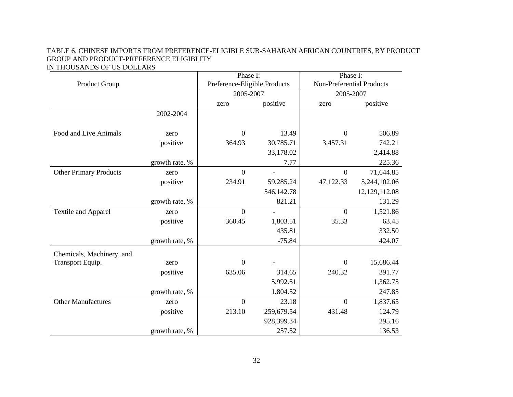#### TABLE 6. CHINESE IMPORTS FROM PREFERENCE-ELIGIBLE SUB-SAHARAN AFRICAN COUNTRIES, BY PRODUCT GROUP AND PRODUCT-PREFERENCE ELIGIBLITY IN THOUSANDS OF US DOLLARS

|                               |                | Phase I:                     |                          | Phase I:                  |               |
|-------------------------------|----------------|------------------------------|--------------------------|---------------------------|---------------|
| Product Group                 |                | Preference-Eligible Products |                          | Non-Preferential Products |               |
|                               |                | 2005-2007                    |                          | 2005-2007                 |               |
|                               |                | zero                         | positive                 | zero                      | positive      |
|                               | 2002-2004      |                              |                          |                           |               |
|                               |                |                              |                          |                           |               |
| Food and Live Animals         | zero           | $\boldsymbol{0}$             | 13.49                    | $\mathbf{0}$              | 506.89        |
|                               | positive       | 364.93                       | 30,785.71                | 3,457.31                  | 742.21        |
|                               |                |                              | 33,178.02                |                           | 2,414.88      |
|                               | growth rate, % |                              | 7.77                     |                           | 225.36        |
| <b>Other Primary Products</b> | zero           | $\overline{0}$               | $\overline{\phantom{a}}$ | $\mathbf{0}$              | 71,644.85     |
|                               | positive       | 234.91                       | 59,285.24                | 47,122.33                 | 5,244,102.06  |
|                               |                |                              | 546,142.78               |                           | 12,129,112.08 |
|                               | growth rate, % |                              | 821.21                   |                           | 131.29        |
| Textile and Apparel           | zero           | $\overline{0}$               |                          | $\overline{0}$            | 1,521.86      |
|                               | positive       | 360.45                       | 1,803.51                 | 35.33                     | 63.45         |
|                               |                |                              | 435.81                   |                           | 332.50        |
|                               | growth rate, % |                              | $-75.84$                 |                           | 424.07        |
| Chemicals, Machinery, and     |                |                              |                          |                           |               |
| Transport Equip.              | zero           | $\mathbf{0}$                 |                          | $\mathbf{0}$              | 15,686.44     |
|                               | positive       | 635.06                       | 314.65                   | 240.32                    | 391.77        |
|                               |                |                              | 5,992.51                 |                           | 1,362.75      |
|                               | growth rate, % |                              | 1,804.52                 |                           | 247.85        |
| <b>Other Manufactures</b>     | zero           | $\overline{0}$               | 23.18                    | $\overline{0}$            | 1,837.65      |
|                               | positive       | 213.10                       | 259,679.54               | 431.48                    | 124.79        |
|                               |                |                              | 928,399.34               |                           | 295.16        |
|                               | growth rate, % |                              | 257.52                   |                           | 136.53        |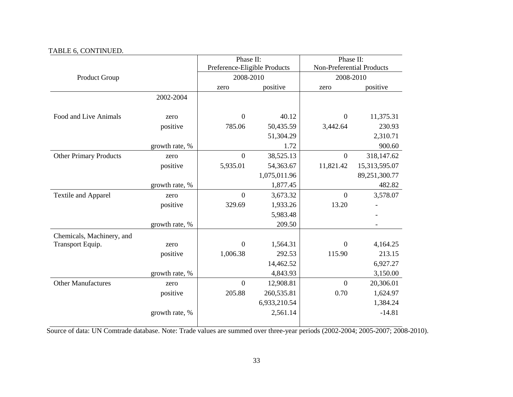### TABLE 6, CONTINUED.

|                               |                | Phase II:                    |              | Phase II:                 |               |
|-------------------------------|----------------|------------------------------|--------------|---------------------------|---------------|
|                               |                | Preference-Eligible Products |              | Non-Preferential Products |               |
| <b>Product Group</b>          |                | 2008-2010                    |              | 2008-2010                 |               |
|                               |                | zero                         | positive     | zero                      | positive      |
|                               | 2002-2004      |                              |              |                           |               |
|                               |                |                              |              |                           |               |
| Food and Live Animals         | zero           | $\mathbf{0}$                 | 40.12        | $\boldsymbol{0}$          | 11,375.31     |
|                               | positive       | 785.06                       | 50,435.59    | 3,442.64                  | 230.93        |
|                               |                |                              | 51,304.29    |                           | 2,310.71      |
|                               | growth rate, % |                              | 1.72         |                           | 900.60        |
| <b>Other Primary Products</b> | zero           | $\overline{0}$               | 38,525.13    | $\boldsymbol{0}$          | 318,147.62    |
|                               | positive       | 5,935.01                     | 54,363.67    | 11,821.42                 | 15,313,595.07 |
|                               |                |                              | 1,075,011.96 |                           | 89,251,300.77 |
|                               | growth rate, % |                              | 1,877.45     |                           | 482.82        |
| Textile and Apparel           | zero           | $\overline{0}$               | 3,673.32     | $\mathbf{0}$              | 3,578.07      |
|                               | positive       | 329.69                       | 1,933.26     | 13.20                     |               |
|                               |                |                              | 5,983.48     |                           |               |
|                               | growth rate, % |                              | 209.50       |                           |               |
| Chemicals, Machinery, and     |                |                              |              |                           |               |
| Transport Equip.              | zero           | $\overline{0}$               | 1,564.31     | $\mathbf{0}$              | 4,164.25      |
|                               | positive       | 1,006.38                     | 292.53       | 115.90                    | 213.15        |
|                               |                |                              | 14,462.52    |                           | 6,927.27      |
|                               | growth rate, % |                              | 4,843.93     |                           | 3,150.00      |
| <b>Other Manufactures</b>     | zero           | $\mathbf{0}$                 | 12,908.81    | $\boldsymbol{0}$          | 20,306.01     |
|                               | positive       | 205.88                       | 260,535.81   | 0.70                      | 1,624.97      |
|                               |                |                              | 6,933,210.54 |                           | 1,384.24      |
|                               | growth rate, % |                              | 2,561.14     |                           | $-14.81$      |
|                               |                |                              |              |                           |               |

Source of data: UN Comtrade database. Note: Trade values are summed over three-year periods (2002-2004; 2005-2007; 2008-2010).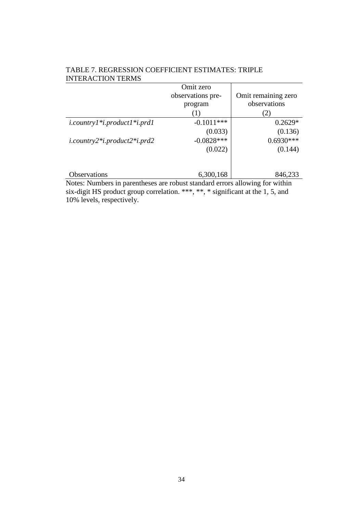|                                                    | Omit zero         |                     |
|----------------------------------------------------|-------------------|---------------------|
|                                                    | observations pre- | Omit remaining zero |
|                                                    | program           | observations        |
|                                                    | (1)               | 2)                  |
| $i$ .country $1$ * $i$ .product $1$ * $i$ .prd $1$ | $-0.1011***$      | $0.2629*$           |
|                                                    | (0.033)           | (0.136)             |
| $i$ .country2* $i$ .product2* $i$ .prd2            | $-0.0828***$      | $0.6930***$         |
|                                                    | (0.022)           | (0.144)             |
|                                                    |                   |                     |
|                                                    |                   |                     |
| Observations                                       | 6,300,168         | 846,233             |

### TABLE 7. REGRESSION COEFFICIENT ESTIMATES: TRIPLE INTERACTION TERMS

Notes: Numbers in parentheses are robust standard errors allowing for within six-digit HS product group correlation. \*\*\*, \*\*, \* significant at the 1, 5, and 10% levels, respectively.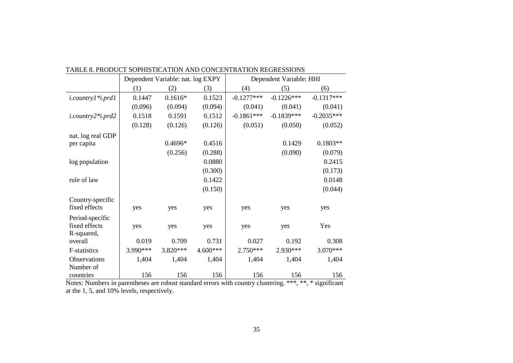|                                 | Dependent Variable: nat. log EXPY |           |            | Dependent Variable: HHI |              |              |
|---------------------------------|-----------------------------------|-----------|------------|-------------------------|--------------|--------------|
|                                 | (1)                               | (2)       | (3)        | (4)                     | (5)          | (6)          |
| $i$ .country $l$ * $i$ .prd $l$ | 0.1447                            | $0.1616*$ | 0.1523     | $-0.1277***$            | $-0.1226***$ | $-0.1317***$ |
|                                 | (0.096)                           | (0.094)   | (0.094)    | (0.041)                 | (0.041)      | (0.041)      |
| i.country2*i.prd2               | 0.1518                            | 0.1591    | 0.1512     | $-0.1861***$            | $-0.1839***$ | $-0.2035***$ |
|                                 | (0.128)                           | (0.126)   | (0.126)    | (0.051)                 | (0.050)      | (0.052)      |
| nat. log real GDP               |                                   |           |            |                         |              |              |
| per capita                      |                                   | 0.4696*   | 0.4516     |                         | 0.1429       | $0.1803**$   |
|                                 |                                   | (0.256)   | (0.288)    |                         | (0.090)      | (0.079)      |
| log population                  |                                   |           | 0.0880     |                         |              | 0.2415       |
|                                 |                                   |           | (0.300)    |                         |              | (0.173)      |
| rule of law                     |                                   |           | 0.1422     |                         |              | 0.0148       |
|                                 |                                   |           | (0.150)    |                         |              | (0.044)      |
| Country-specific                |                                   |           |            |                         |              |              |
| fixed effects                   | yes                               | yes       | yes        | yes                     | yes          | yes          |
| Period-specific                 |                                   |           |            |                         |              |              |
| fixed effects                   | yes                               | yes       | yes        | yes                     | yes          | Yes          |
| R-squared,                      |                                   |           |            |                         |              |              |
| overall                         | 0.019                             | 0.709     | 0.731      | 0.027                   | 0.192        | 0.308        |
| <b>F-statistics</b>             | 3.990 ***                         | 3.820***  | $4.600***$ | 2.750***                | 2.930***     | $3.070***$   |
| Observations                    | 1,404                             | 1,404     | 1,404      | 1,404                   | 1,404        | 1,404        |
| Number of                       |                                   |           |            |                         |              |              |
| countries                       | 156                               | 156       | 156        | 156                     | 156          | 156          |

TABLE 8. PRODUCT SOPHISTICATION AND CONCENTRATION REGRESSIONS

Notes: Numbers in parentheses are robust standard errors with country clustering. \*\*\*, \*\*, \* significant at the 1, 5, and 10% levels, respectively.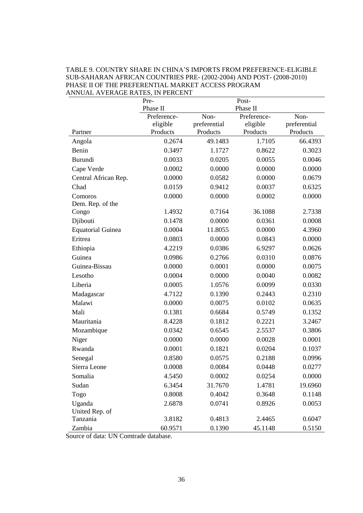|                             | Pre-<br>Phase II     |                          | Post-<br>Phase II    |                          |
|-----------------------------|----------------------|--------------------------|----------------------|--------------------------|
|                             | Preference-          | Non-                     | Preference-          | Non-                     |
| Partner                     | eligible<br>Products | preferential<br>Products | eligible<br>Products | preferential<br>Products |
| Angola                      | 0.2674               | 49.1483                  | 1.7105               | 66.4393                  |
| Benin                       | 0.3497               | 1.1727                   | 0.8622               | 0.3023                   |
| Burundi                     | 0.0033               | 0.0205                   | 0.0055               | 0.0046                   |
| Cape Verde                  | 0.0002               | 0.0000                   | 0.0000               | 0.0000                   |
| Central African Rep.        | 0.0000               | 0.0582                   | 0.0000               | 0.0679                   |
| Chad                        | 0.0159               | 0.9412                   | 0.0037               | 0.6325                   |
| Comoros<br>Dem. Rep. of the | 0.0000               | 0.0000                   | 0.0002               | 0.0000                   |
| Congo                       | 1.4932               | 0.7164                   | 36.1088              | 2.7338                   |
| Djibouti                    | 0.1478               | 0.0000                   | 0.0361               | 0.0008                   |
| <b>Equatorial Guinea</b>    | 0.0004               | 11.8055                  | 0.0000               | 4.3960                   |
| Eritrea                     | 0.0803               | 0.0000                   | 0.0843               | 0.0000                   |
| Ethiopia                    | 4.2219               | 0.0386                   | 6.9297               | 0.0626                   |
| Guinea                      | 0.0986               | 0.2766                   | 0.0310               | 0.0876                   |
| Guinea-Bissau               | 0.0000               | 0.0001                   | 0.0000               | 0.0075                   |
| Lesotho                     | 0.0004               | 0.0000                   | 0.0040               | 0.0082                   |
| Liberia                     | 0.0005               | 1.0576                   | 0.0099               | 0.0330                   |
| Madagascar                  | 4.7122               | 0.1390                   | 0.2443               | 0.2310                   |
| Malawi                      | 0.0000               | 0.0075                   | 0.0102               | 0.0635                   |
| Mali                        | 0.1381               | 0.6684                   | 0.5749               | 0.1352                   |
| Mauritania                  | 8.4228               | 0.1812                   | 0.2221               | 3.2467                   |
| Mozambique                  | 0.0342               | 0.6545                   | 2.5537               | 0.3806                   |
| Niger                       | 0.0000               | 0.0000                   | 0.0028               | 0.0001                   |
| Rwanda                      | 0.0001               | 0.1821                   | 0.0204               | 0.1037                   |
| Senegal                     | 0.8580               | 0.0575                   | 0.2188               | 0.0996                   |
| Sierra Leone                | 0.0008               | 0.0084                   | 0.0448               | 0.0277                   |
| Somalia                     | 4.5450               | 0.0002                   | 0.0254               | 0.0000                   |
| Sudan                       | 6.3454               | 31.7670                  | 1.4781               | 19.6960                  |
| Togo                        | 0.8008               | 0.4042                   | 0.3648               | 0.1148                   |
| Uganda<br>United Rep. of    | 2.6878               | 0.0741                   | 0.8926               | 0.0053                   |
| Tanzania                    | 3.8182               | 0.4813                   | 2.4465               | 0.6047                   |
| Zambia                      | 60.9571              | 0.1390                   | 45.1148              | 0.5150                   |

#### TABLE 9. COUNTRY SHARE IN CHINA'S IMPORTS FROM PREFERENCE-ELIGIBLE SUB-SAHARAN AFRICAN COUNTRIES PRE- (2002-2004) AND POST- (2008-2010) PHASE II OF THE PREFERENTIAL MARKET ACCESS PROGRAM ANNUAL AVERAGE RATES, IN PERCENT

Source of data: UN Comtrade database.